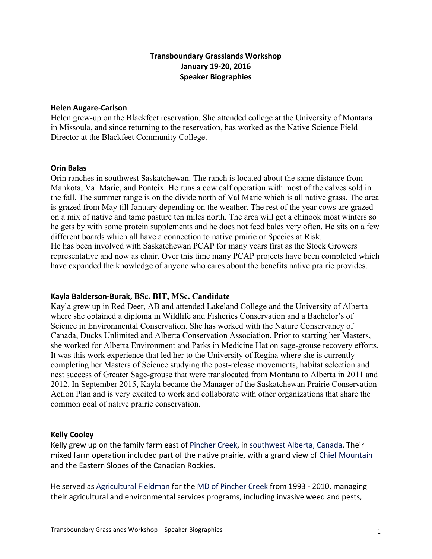# **Transboundary Grasslands Workshop January 19-20, 2016 Speaker Biographies**

#### **Helen Augare-Carlson**

Helen grew-up on the Blackfeet reservation. She attended college at the University of Montana in Missoula, and since returning to the reservation, has worked as the Native Science Field Director at the Blackfeet Community College.

### **Orin Balas**

Orin ranches in southwest Saskatchewan. The ranch is located about the same distance from Mankota, Val Marie, and Ponteix. He runs a cow calf operation with most of the calves sold in the fall. The summer range is on the divide north of Val Marie which is all native grass. The area is grazed from May till January depending on the weather. The rest of the year cows are grazed on a mix of native and tame pasture ten miles north. The area will get a chinook most winters so he gets by with some protein supplements and he does not feed bales very often. He sits on a few different boards which all have a connection to native prairie or Species at Risk. He has been involved with Saskatchewan PCAP for many years first as the Stock Growers representative and now as chair. Over this time many PCAP projects have been completed which have expanded the knowledge of anyone who cares about the benefits native prairie provides.

### **Kayla Balderson-Burak, BSc. BIT, MSc. Candidate**

Kayla grew up in Red Deer, AB and attended Lakeland College and the University of Alberta where she obtained a diploma in Wildlife and Fisheries Conservation and a Bachelor's of Science in Environmental Conservation. She has worked with the Nature Conservancy of Canada, Ducks Unlimited and Alberta Conservation Association. Prior to starting her Masters, she worked for Alberta Environment and Parks in Medicine Hat on sage-grouse recovery efforts. It was this work experience that led her to the University of Regina where she is currently completing her Masters of Science studying the post-release movements, habitat selection and nest success of Greater Sage-grouse that were translocated from Montana to Alberta in 2011 and 2012. In September 2015, Kayla became the Manager of the Saskatchewan Prairie Conservation Action Plan and is very excited to work and collaborate with other organizations that share the common goal of native prairie conservation.

### **Kelly Cooley**

Kelly grew up on the family farm east of Pincher Creek, in southwest Alberta, Canada. Their mixed farm operation included part of the native prairie, with a grand view of Chief Mountain and the Eastern Slopes of the Canadian Rockies.

He served as Agricultural Fieldman for the MD of Pincher Creek from 1993 - 2010, managing their agricultural and environmental services programs, including invasive weed and pests,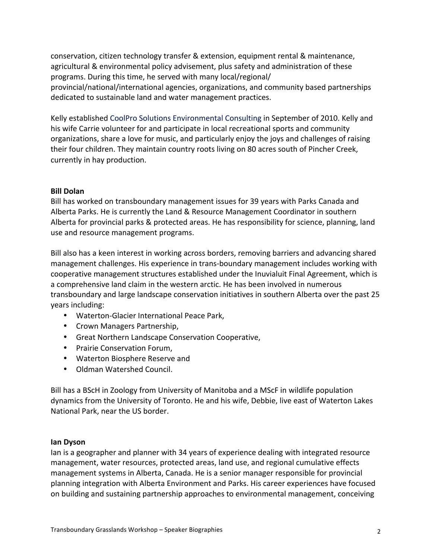conservation, citizen technology transfer & extension, equipment rental & maintenance, agricultural & environmental policy advisement, plus safety and administration of these programs. During this time, he served with many local/regional/ provincial/national/international agencies, organizations, and community based partnerships dedicated to sustainable land and water management practices.

Kelly established CoolPro Solutions Environmental Consulting in September of 2010. Kelly and his wife Carrie volunteer for and participate in local recreational sports and community organizations, share a love for music, and particularly enjoy the joys and challenges of raising their four children. They maintain country roots living on 80 acres south of Pincher Creek, currently in hay production.

### **Bill Dolan**

Bill has worked on transboundary management issues for 39 years with Parks Canada and Alberta Parks. He is currently the Land & Resource Management Coordinator in southern Alberta for provincial parks & protected areas. He has responsibility for science, planning, land use and resource management programs.

Bill also has a keen interest in working across borders, removing barriers and advancing shared management challenges. His experience in trans-boundary management includes working with cooperative management structures established under the Inuvialuit Final Agreement, which is a comprehensive land claim in the western arctic. He has been involved in numerous transboundary and large landscape conservation initiatives in southern Alberta over the past 25 years including:

- Waterton-Glacier International Peace Park,
- Crown Managers Partnership,
- Great Northern Landscape Conservation Cooperative,
- Prairie Conservation Forum,
- Waterton Biosphere Reserve and
- Oldman Watershed Council.

Bill has a BScH in Zoology from University of Manitoba and a MScF in wildlife population dynamics from the University of Toronto. He and his wife, Debbie, live east of Waterton Lakes National Park, near the US border.

### **Ian Dyson**

lan is a geographer and planner with 34 years of experience dealing with integrated resource management, water resources, protected areas, land use, and regional cumulative effects management systems in Alberta, Canada. He is a senior manager responsible for provincial planning integration with Alberta Environment and Parks. His career experiences have focused on building and sustaining partnership approaches to environmental management, conceiving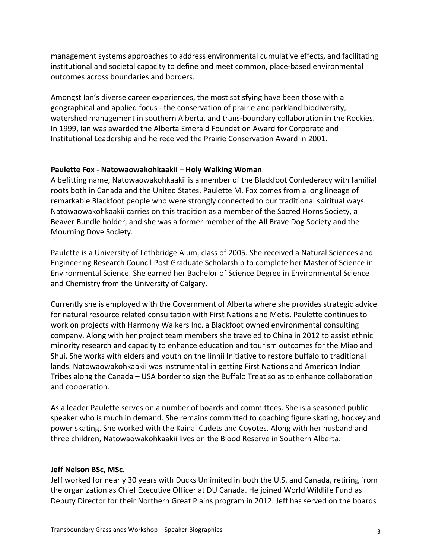management systems approaches to address environmental cumulative effects, and facilitating institutional and societal capacity to define and meet common, place-based environmental outcomes across boundaries and borders.

Amongst lan's diverse career experiences, the most satisfying have been those with a geographical and applied focus - the conservation of prairie and parkland biodiversity, watershed management in southern Alberta, and trans-boundary collaboration in the Rockies. In 1999, Ian was awarded the Alberta Emerald Foundation Award for Corporate and Institutional Leadership and he received the Prairie Conservation Award in 2001.

## **Paulette Fox - Natowaowakohkaakii – Holy Walking Woman**

A befitting name, Natowaowakohkaakii is a member of the Blackfoot Confederacy with familial roots both in Canada and the United States. Paulette M. Fox comes from a long lineage of remarkable Blackfoot people who were strongly connected to our traditional spiritual ways. Natowaowakohkaakii carries on this tradition as a member of the Sacred Horns Society, a Beaver Bundle holder; and she was a former member of the All Brave Dog Society and the Mourning Dove Society.

Paulette is a University of Lethbridge Alum, class of 2005. She received a Natural Sciences and Engineering Research Council Post Graduate Scholarship to complete her Master of Science in Environmental Science. She earned her Bachelor of Science Degree in Environmental Science and Chemistry from the University of Calgary.

Currently she is employed with the Government of Alberta where she provides strategic advice for natural resource related consultation with First Nations and Metis. Paulette continues to work on projects with Harmony Walkers Inc. a Blackfoot owned environmental consulting company. Along with her project team members she traveled to China in 2012 to assist ethnic minority research and capacity to enhance education and tourism outcomes for the Miao and Shui. She works with elders and youth on the linnii Initiative to restore buffalo to traditional lands. Natowaowakohkaakii was instrumental in getting First Nations and American Indian Tribes along the Canada – USA border to sign the Buffalo Treat so as to enhance collaboration and cooperation.

As a leader Paulette serves on a number of boards and committees. She is a seasoned public speaker who is much in demand. She remains committed to coaching figure skating, hockey and power skating. She worked with the Kainai Cadets and Coyotes. Along with her husband and three children, Natowaowakohkaakii lives on the Blood Reserve in Southern Alberta.

## **Jeff Nelson BSc, MSc.**

Jeff worked for nearly 30 years with Ducks Unlimited in both the U.S. and Canada, retiring from the organization as Chief Executive Officer at DU Canada. He joined World Wildlife Fund as Deputy Director for their Northern Great Plains program in 2012. Jeff has served on the boards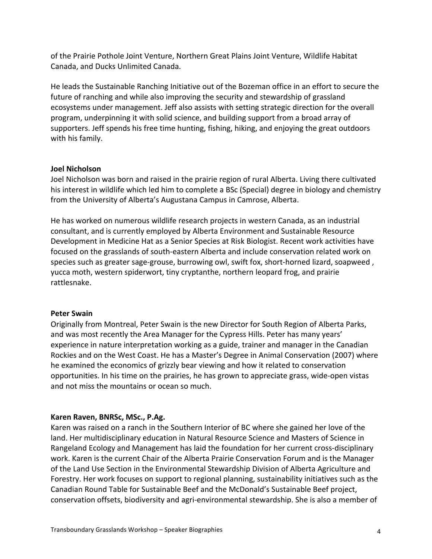of the Prairie Pothole Joint Venture, Northern Great Plains Joint Venture, Wildlife Habitat Canada, and Ducks Unlimited Canada.

He leads the Sustainable Ranching Initiative out of the Bozeman office in an effort to secure the future of ranching and while also improving the security and stewardship of grassland ecosystems under management. Jeff also assists with setting strategic direction for the overall program, underpinning it with solid science, and building support from a broad array of supporters. Jeff spends his free time hunting, fishing, hiking, and enjoying the great outdoors with his family.

### **Joel Nicholson**

Joel Nicholson was born and raised in the prairie region of rural Alberta. Living there cultivated his interest in wildlife which led him to complete a BSc (Special) degree in biology and chemistry from the University of Alberta's Augustana Campus in Camrose, Alberta.

He has worked on numerous wildlife research projects in western Canada, as an industrial consultant, and is currently employed by Alberta Environment and Sustainable Resource Development in Medicine Hat as a Senior Species at Risk Biologist. Recent work activities have focused on the grasslands of south-eastern Alberta and include conservation related work on species such as greater sage-grouse, burrowing owl, swift fox, short-horned lizard, soapweed, yucca moth, western spiderwort, tiny cryptanthe, northern leopard frog, and prairie rattlesnake.

## **Peter Swain**

Originally from Montreal, Peter Swain is the new Director for South Region of Alberta Parks, and was most recently the Area Manager for the Cypress Hills. Peter has many years' experience in nature interpretation working as a guide, trainer and manager in the Canadian Rockies and on the West Coast. He has a Master's Degree in Animal Conservation (2007) where he examined the economics of grizzly bear viewing and how it related to conservation opportunities. In his time on the prairies, he has grown to appreciate grass, wide-open vistas and not miss the mountains or ocean so much.

## Karen Raven, BNRSc, MSc., P.Ag.

Karen was raised on a ranch in the Southern Interior of BC where she gained her love of the land. Her multidisciplinary education in Natural Resource Science and Masters of Science in Rangeland Ecology and Management has laid the foundation for her current cross-disciplinary work. Karen is the current Chair of the Alberta Prairie Conservation Forum and is the Manager of the Land Use Section in the Environmental Stewardship Division of Alberta Agriculture and Forestry. Her work focuses on support to regional planning, sustainability initiatives such as the Canadian Round Table for Sustainable Beef and the McDonald's Sustainable Beef project, conservation offsets, biodiversity and agri-environmental stewardship. She is also a member of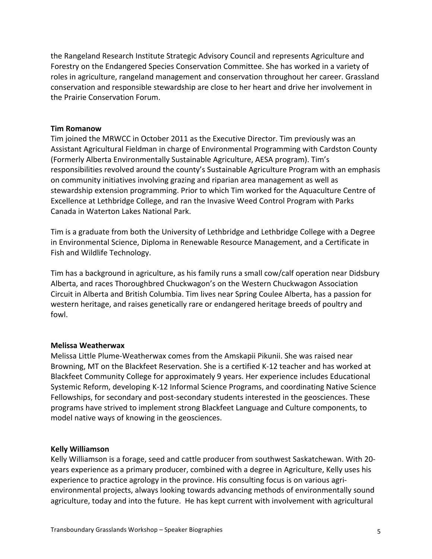the Rangeland Research Institute Strategic Advisory Council and represents Agriculture and Forestry on the Endangered Species Conservation Committee. She has worked in a variety of roles in agriculture, rangeland management and conservation throughout her career. Grassland conservation and responsible stewardship are close to her heart and drive her involvement in the Prairie Conservation Forum.

### **Tim Romanow**

Tim joined the MRWCC in October 2011 as the Executive Director. Tim previously was an Assistant Agricultural Fieldman in charge of Environmental Programming with Cardston County (Formerly Alberta Environmentally Sustainable Agriculture, AESA program). Tim's responsibilities revolved around the county's Sustainable Agriculture Program with an emphasis on community initiatives involving grazing and riparian area management as well as stewardship extension programming. Prior to which Tim worked for the Aquaculture Centre of Excellence at Lethbridge College, and ran the Invasive Weed Control Program with Parks Canada in Waterton Lakes National Park.

Tim is a graduate from both the University of Lethbridge and Lethbridge College with a Degree in Environmental Science, Diploma in Renewable Resource Management, and a Certificate in Fish and Wildlife Technology.

Tim has a background in agriculture, as his family runs a small cow/calf operation near Didsbury Alberta, and races Thoroughbred Chuckwagon's on the Western Chuckwagon Association Circuit in Alberta and British Columbia. Tim lives near Spring Coulee Alberta, has a passion for western heritage, and raises genetically rare or endangered heritage breeds of poultry and fowl. 

### **Melissa Weatherwax**

Melissa Little Plume-Weatherwax comes from the Amskapii Pikunii. She was raised near Browning, MT on the Blackfeet Reservation. She is a certified K-12 teacher and has worked at Blackfeet Community College for approximately 9 years. Her experience includes Educational Systemic Reform, developing K-12 Informal Science Programs, and coordinating Native Science Fellowships, for secondary and post-secondary students interested in the geosciences. These programs have strived to implement strong Blackfeet Language and Culture components, to model native ways of knowing in the geosciences.

### **Kelly Williamson**

Kelly Williamson is a forage, seed and cattle producer from southwest Saskatchewan. With 20years experience as a primary producer, combined with a degree in Agriculture, Kelly uses his experience to practice agrology in the province. His consulting focus is on various agrienvironmental projects, always looking towards advancing methods of environmentally sound agriculture, today and into the future. He has kept current with involvement with agricultural